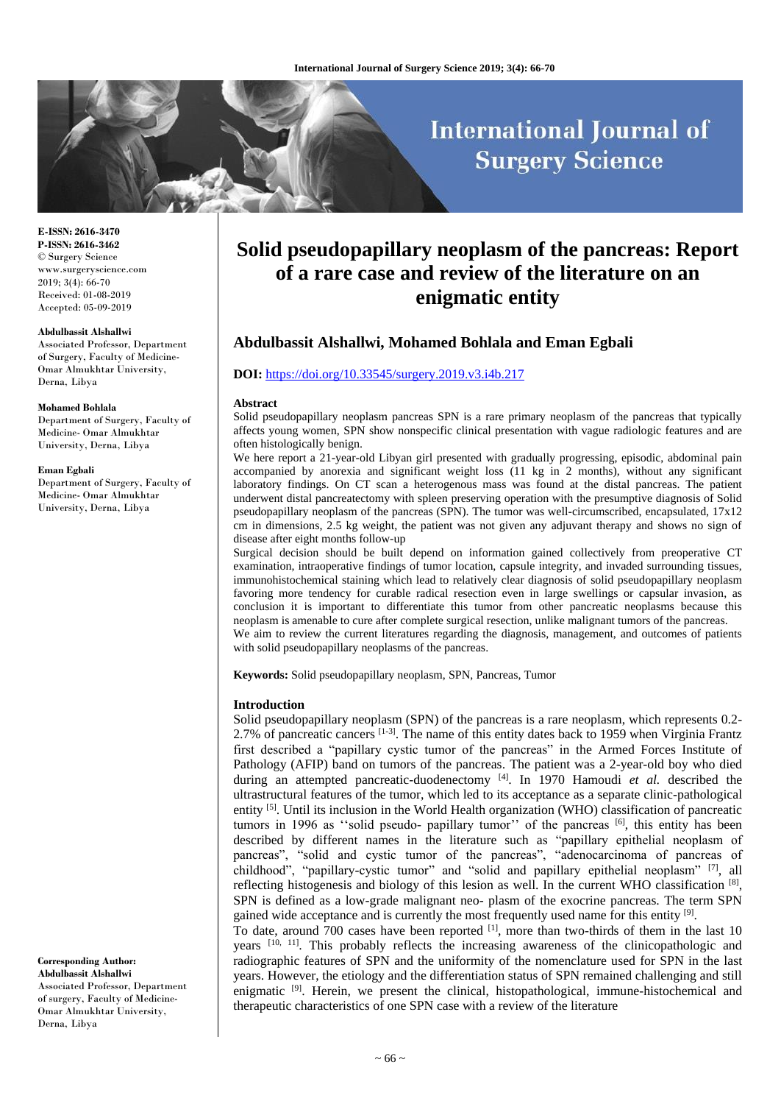# **International Journal of Surgery Science**

**E-ISSN: 2616-3470 P-ISSN: 2616-3462** © Surgery Science www.surgeryscience.com 2019; 3(4): 66-70 Received: 01-08-2019 Accepted: 05-09-2019

#### **Abdulbassit Alshallwi**

Associated Professor, Department of Surgery, Faculty of Medicine-Omar Almukhtar University, Derna, Libya

#### **Mohamed Bohlala**

Department of Surgery, Faculty of Medicine- Omar Almukhtar University, Derna, Libya

#### **Eman Egbali**

Department of Surgery, Faculty of Medicine- Omar Almukhtar University, Derna, Libya

**Corresponding Author: Abdulbassit Alshallwi** Associated Professor, Department

of surgery, Faculty of Medicine-Omar Almukhtar University, Derna, Libya

# **Solid pseudopapillary neoplasm of the pancreas: Report of a rare case and review of the literature on an enigmatic entity**

# **Abdulbassit Alshallwi, Mohamed Bohlala and Eman Egbali**

## **DOI:** <https://doi.org/10.33545/surgery.2019.v3.i4b.217>

#### **Abstract**

Solid pseudopapillary neoplasm pancreas SPN is a rare primary neoplasm of the pancreas that typically affects young women, SPN show nonspecific clinical presentation with vague radiologic features and are often histologically benign.

We here report a 21-year-old Libyan girl presented with gradually progressing, episodic, abdominal pain accompanied by anorexia and significant weight loss (11 kg in 2 months), without any significant laboratory findings. On CT scan a heterogenous mass was found at the distal pancreas. The patient underwent distal pancreatectomy with spleen preserving operation with the presumptive diagnosis of Solid pseudopapillary neoplasm of the pancreas (SPN). The tumor was well-circumscribed, encapsulated, 17x12 cm in dimensions, 2.5 kg weight, the patient was not given any adjuvant therapy and shows no sign of disease after eight months follow-up

Surgical decision should be built depend on information gained collectively from preoperative CT examination, intraoperative findings of tumor location, capsule integrity, and invaded surrounding tissues, immunohistochemical staining which lead to relatively clear diagnosis of solid pseudopapillary neoplasm favoring more tendency for curable radical resection even in large swellings or capsular invasion, as conclusion it is important to differentiate this tumor from other pancreatic neoplasms because this neoplasm is amenable to cure after complete surgical resection, unlike malignant tumors of the pancreas. We aim to review the current literatures regarding the diagnosis, management, and outcomes of patients with solid pseudopapillary neoplasms of the pancreas.

**Keywords:** Solid pseudopapillary neoplasm, SPN, Pancreas, Tumor

#### **Introduction**

Solid pseudopapillary neoplasm (SPN) of the pancreas is a rare neoplasm, which represents 0.2- 2.7% of pancreatic cancers [1-3]. The name of this entity dates back to 1959 when Virginia Frantz first described a "papillary cystic tumor of the pancreas" in the Armed Forces Institute of Pathology (AFIP) band on tumors of the pancreas. The patient was a 2-year-old boy who died during an attempted pancreatic-duodenectomy <sup>[4]</sup>. In 1970 Hamoudi et al. described the ultrastructural features of the tumor, which led to its acceptance as a separate clinic-pathological entity [5]. Until its inclusion in the World Health organization (WHO) classification of pancreatic tumors in 1996 as "solid pseudo- papillary tumor" of the pancreas <sup>[6]</sup>, this entity has been described by different names in the literature such as "papillary epithelial neoplasm of pancreas", "solid and cystic tumor of the pancreas", "adenocarcinoma of pancreas of childhood", "papillary-cystic tumor" and "solid and papillary epithelial neoplasm" [7], all reflecting histogenesis and biology of this lesion as well. In the current WHO classification  $^{[8]}$ , SPN is defined as a low-grade malignant neo- plasm of the exocrine pancreas. The term SPN gained wide acceptance and is currently the most frequently used name for this entity [9].

To date, around 700 cases have been reported [1], more than two-thirds of them in the last 10 years [10, 11]. This probably reflects the increasing awareness of the clinicopathologic and radiographic features of SPN and the uniformity of the nomenclature used for SPN in the last years. However, the etiology and the differentiation status of SPN remained challenging and still enigmatic <sup>[9]</sup>. Herein, we present the clinical, histopathological, immune-histochemical and therapeutic characteristics of one SPN case with a review of the literature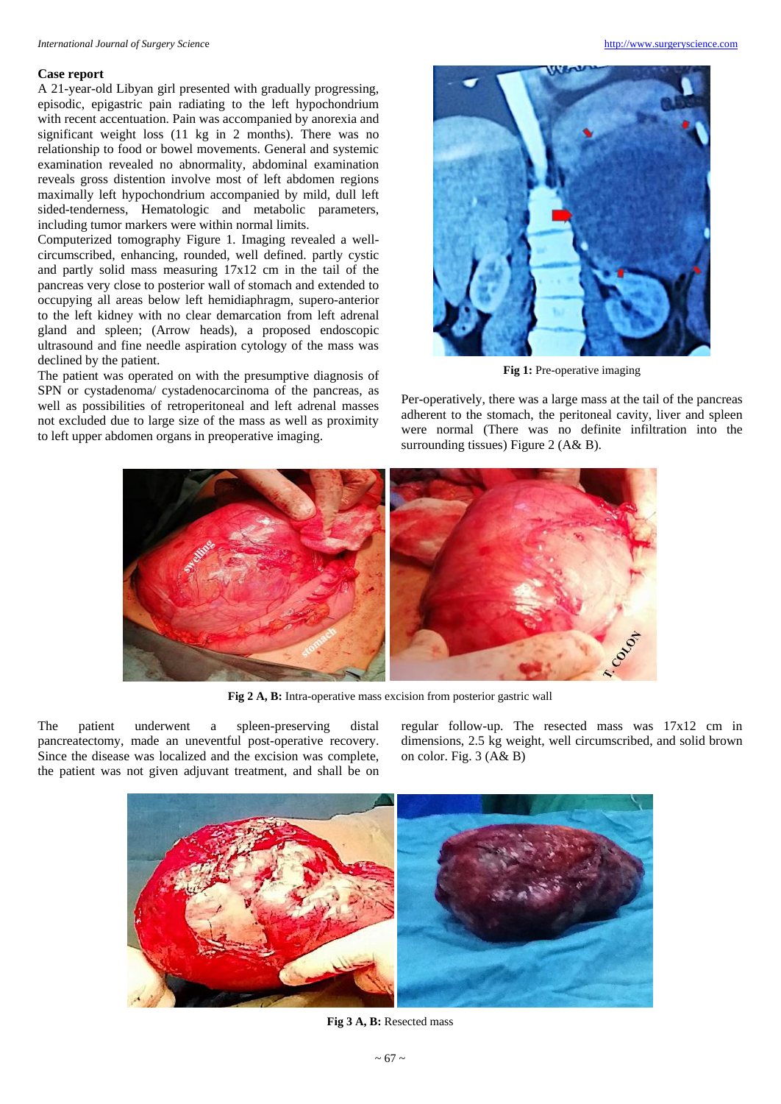#### **Case report**

A 21-year-old Libyan girl presented with gradually progressing, episodic, epigastric pain radiating to the left hypochondrium with recent accentuation. Pain was accompanied by anorexia and significant weight loss (11 kg in 2 months). There was no relationship to food or bowel movements. General and systemic examination revealed no abnormality, abdominal examination reveals gross distention involve most of left abdomen regions maximally left hypochondrium accompanied by mild, dull left sided-tenderness, Hematologic and metabolic parameters, including tumor markers were within normal limits.

Computerized tomography Figure 1*.* Imaging revealed a wellcircumscribed, enhancing, rounded, well defined. partly cystic and partly solid mass measuring 17x12 cm in the tail of the pancreas very close to posterior wall of stomach and extended to occupying all areas below left hemidiaphragm, supero-anterior to the left kidney with no clear demarcation from left adrenal gland and spleen; (Arrow heads), a proposed endoscopic ultrasound and fine needle aspiration cytology of the mass was declined by the patient.

The patient was operated on with the presumptive diagnosis of SPN or cystadenoma/ cystadenocarcinoma of the pancreas, as well as possibilities of retroperitoneal and left adrenal masses not excluded due to large size of the mass as well as proximity to left upper abdomen organs in preoperative imaging.



**Fig 1:** Pre-operative imaging

Per-operatively, there was a large mass at the tail of the pancreas adherent to the stomach, the peritoneal cavity, liver and spleen were normal (There was no definite infiltration into the surrounding tissues) Figure 2 (A& B).



**Fig 2 A, B:** Intra-operative mass excision from posterior gastric wall

The patient underwent a spleen-preserving distal pancreatectomy, made an uneventful post-operative recovery. Since the disease was localized and the excision was complete, the patient was not given adjuvant treatment, and shall be on regular follow-up. The resected mass was 17x12 cm in dimensions, 2.5 kg weight, well circumscribed, and solid brown on color. Fig. 3 (A& B)



**Fig 3 A, B:** Resected mass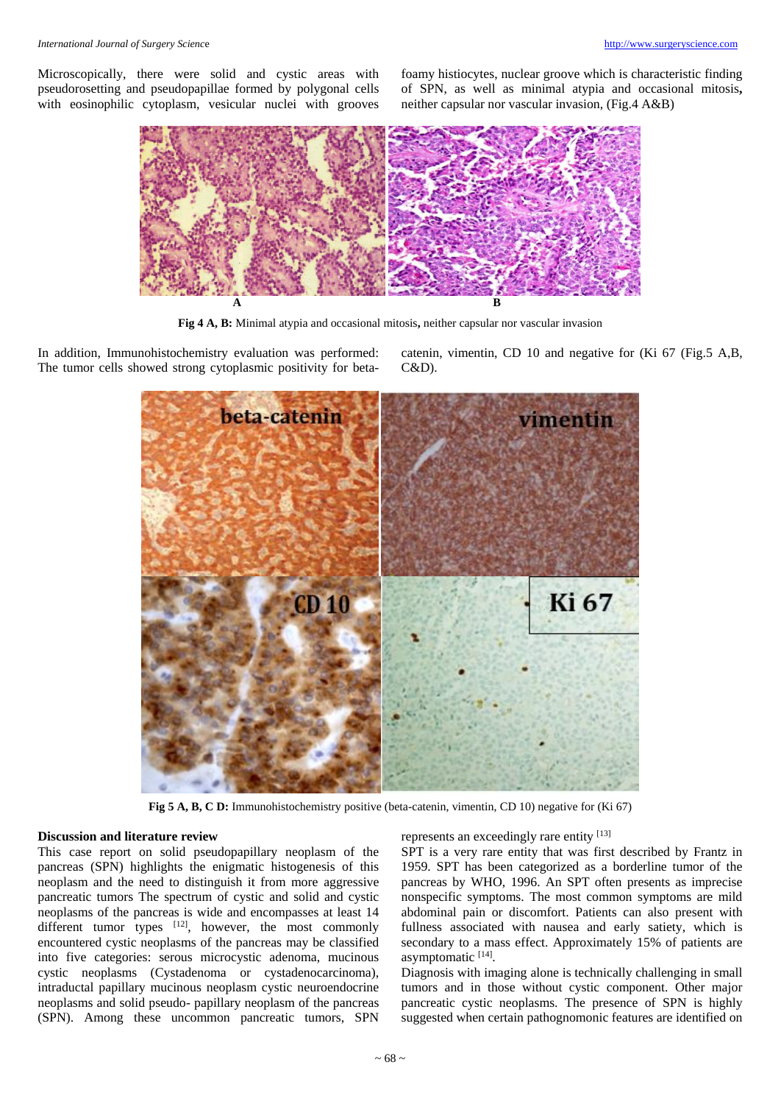Microscopically, there were solid and cystic areas with pseudorosetting and pseudopapillae formed by polygonal cells with eosinophilic cytoplasm, vesicular nuclei with grooves foamy histiocytes, nuclear groove which is characteristic finding of SPN, as well as minimal atypia and occasional mitosis**,**  neither capsular nor vascular invasion, (Fig.4 A&B)



**Fig 4 A, B:** Minimal atypia and occasional mitosis**,** neither capsular nor vascular invasion

In addition, Immunohistochemistry evaluation was performed: The tumor cells showed strong cytoplasmic positivity for betacatenin, vimentin, CD 10 and negative for (Ki 67 (Fig.5 A,B, C&D).



**Fig 5 A, B, C D:** Immunohistochemistry positive (beta-catenin, vimentin, CD 10) negative for (Ki 67)

## **Discussion and literature review**

This case report on solid pseudopapillary neoplasm of the pancreas (SPN) highlights the enigmatic histogenesis of this neoplasm and the need to distinguish it from more aggressive pancreatic tumors The spectrum of cystic and solid and cystic neoplasms of the pancreas is wide and encompasses at least 14 different tumor types  $[12]$ , however, the most commonly encountered cystic neoplasms of the pancreas may be classified into five categories: serous microcystic adenoma, mucinous cystic neoplasms (Cystadenoma or cystadenocarcinoma), intraductal papillary mucinous neoplasm cystic neuroendocrine neoplasms and solid pseudo- papillary neoplasm of the pancreas (SPN). Among these uncommon pancreatic tumors, SPN

represents an exceedingly rare entity [13]

SPT is a very rare entity that was first described by Frantz in 1959. SPT has been categorized as a borderline tumor of the pancreas by WHO, 1996. An SPT often presents as imprecise nonspecific symptoms. The most common symptoms are mild abdominal pain or discomfort. Patients can also present with fullness associated with nausea and early satiety, which is secondary to a mass effect. Approximately 15% of patients are asymptomatic [14].

Diagnosis with imaging alone is technically challenging in small tumors and in those without cystic component. Other major pancreatic cystic neoplasms. The presence of SPN is highly suggested when certain pathognomonic features are identified on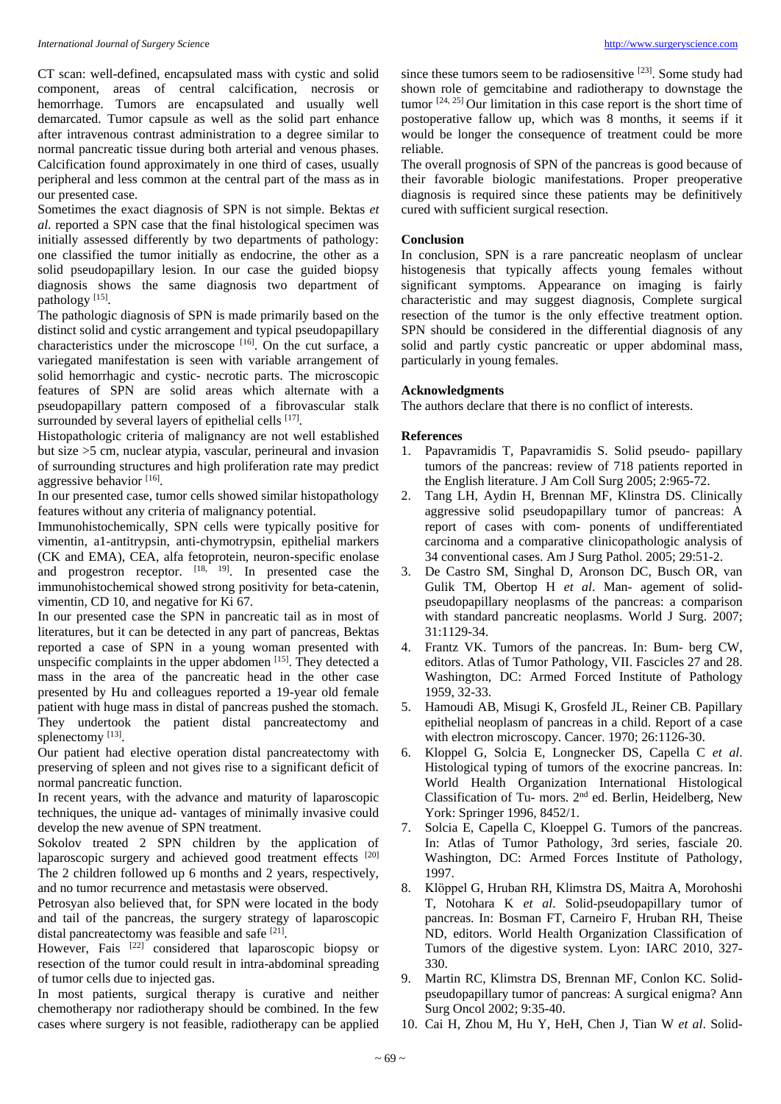CT scan: well-defined, encapsulated mass with cystic and solid component, areas of central calcification, necrosis or hemorrhage. Tumors are encapsulated and usually well demarcated. Tumor capsule as well as the solid part enhance after intravenous contrast administration to a degree similar to normal pancreatic tissue during both arterial and venous phases. Calcification found approximately in one third of cases, usually peripheral and less common at the central part of the mass as in our presented case.

Sometimes the exact diagnosis of SPN is not simple. Bektas *et al*. reported a SPN case that the final histological specimen was initially assessed differently by two departments of pathology: one classified the tumor initially as endocrine, the other as a solid pseudopapillary lesion. In our case the guided biopsy diagnosis shows the same diagnosis two department of pathology<sup>[15]</sup>.

The pathologic diagnosis of SPN is made primarily based on the distinct solid and cystic arrangement and typical pseudopapillary characteristics under the microscope [16]. On the cut surface, a variegated manifestation is seen with variable arrangement of solid hemorrhagic and cystic- necrotic parts. The microscopic features of SPN are solid areas which alternate with a pseudopapillary pattern composed of a fibrovascular stalk surrounded by several layers of epithelial cells [17].

Histopathologic criteria of malignancy are not well established but size >5 cm, nuclear atypia, vascular, perineural and invasion of surrounding structures and high proliferation rate may predict aggressive behavior<sup>[16]</sup>.

In our presented case, tumor cells showed similar histopathology features without any criteria of malignancy potential.

Immunohistochemically, SPN cells were typically positive for vimentin, a1-antitrypsin, anti-chymotrypsin, epithelial markers (CK and EMA), CEA, alfa fetoprotein, neuron-specific enolase and progestron receptor.  $[18, 19]$ . In presented case the immunohistochemical showed strong positivity for beta-catenin, vimentin, CD 10, and negative for Ki 67.

In our presented case the SPN in pancreatic tail as in most of literatures, but it can be detected in any part of pancreas, Bektas reported a case of SPN in a young woman presented with unspecific complaints in the upper abdomen  $[15]$ . They detected a mass in the area of the pancreatic head in the other case presented by Hu and colleagues reported a 19-year old female patient with huge mass in distal of pancreas pushed the stomach. They undertook the patient distal pancreatectomy and splenectomy [13].

Our patient had elective operation distal pancreatectomy with preserving of spleen and not gives rise to a significant deficit of normal pancreatic function.

In recent years, with the advance and maturity of laparoscopic techniques, the unique ad- vantages of minimally invasive could develop the new avenue of SPN treatment.

Sokolov treated 2 SPN children by the application of laparoscopic surgery and achieved good treatment effects [20] The 2 children followed up 6 months and 2 years, respectively, and no tumor recurrence and metastasis were observed.

Petrosyan also believed that, for SPN were located in the body and tail of the pancreas, the surgery strategy of laparoscopic distal pancreatectomy was feasible and safe [21].

However, Fais <sup>[22]</sup> considered that laparoscopic biopsy or resection of the tumor could result in intra-abdominal spreading of tumor cells due to injected gas.

In most patients, surgical therapy is curative and neither chemotherapy nor radiotherapy should be combined. In the few cases where surgery is not feasible, radiotherapy can be applied

since these tumors seem to be radiosensitive [23] . Some study had shown role of gemcitabine and radiotherapy to downstage the tumor [24, 25] Our limitation in this case report is the short time of postoperative fallow up, which was 8 months, it seems if it would be longer the consequence of treatment could be more reliable.

The overall prognosis of SPN of the pancreas is good because of their favorable biologic manifestations. Proper preoperative diagnosis is required since these patients may be definitively cured with sufficient surgical resection.

# **Conclusion**

In conclusion, SPN is a rare pancreatic neoplasm of unclear histogenesis that typically affects young females without significant symptoms. Appearance on imaging is fairly characteristic and may suggest diagnosis, Complete surgical resection of the tumor is the only effective treatment option. SPN should be considered in the differential diagnosis of any solid and partly cystic pancreatic or upper abdominal mass, particularly in young females.

# **Acknowledgments**

The authors declare that there is no conflict of interests.

# **References**

- 1. Papavramidis T, Papavramidis S. Solid pseudo- papillary tumors of the pancreas: review of 718 patients reported in the English literature. J Am Coll Surg 2005; 2:965-72.
- 2. Tang LH, Aydin H, Brennan MF, Klinstra DS. Clinically aggressive solid pseudopapillary tumor of pancreas: A report of cases with com- ponents of undifferentiated carcinoma and a comparative clinicopathologic analysis of 34 conventional cases. Am J Surg Pathol. 2005; 29:51-2.
- 3. De Castro SM, Singhal D, Aronson DC, Busch OR, van Gulik TM, Obertop H *et al*. Man- agement of solidpseudopapillary neoplasms of the pancreas: a comparison with standard pancreatic neoplasms. World J Surg. 2007; 31:1129-34.
- 4. Frantz VK. Tumors of the pancreas. In: Bum- berg CW, editors. Atlas of Tumor Pathology, VII. Fascicles 27 and 28. Washington, DC: Armed Forced Institute of Pathology 1959, 32-33.
- 5. Hamoudi AB, Misugi K, Grosfeld JL, Reiner CB. Papillary epithelial neoplasm of pancreas in a child. Report of a case with electron microscopy. Cancer. 1970; 26:1126-30.
- 6. Kloppel G, Solcia E, Longnecker DS, Capella C *et al*. Histological typing of tumors of the exocrine pancreas. In: World Health Organization International Histological Classification of Tu- mors. 2nd ed. Berlin, Heidelberg, New York: Springer 1996, 8452/1.
- 7. Solcia E, Capella C, Kloeppel G. Tumors of the pancreas. In: Atlas of Tumor Pathology, 3rd series, fasciale 20. Washington, DC: Armed Forces Institute of Pathology, 1997.
- 8. Klöppel G, Hruban RH, Klimstra DS, Maitra A, Morohoshi T, Notohara K *et al*. Solid-pseudopapillary tumor of pancreas. In: Bosman FT, Carneiro F, Hruban RH, Theise ND, editors. World Health Organization Classification of Tumors of the digestive system. Lyon: IARC 2010, 327- 330.
- 9. Martin RC, Klimstra DS, Brennan MF, Conlon KC. Solidpseudopapillary tumor of pancreas: A surgical enigma? Ann Surg Oncol 2002; 9:35-40.
- 10. Cai H, Zhou M, Hu Y, HeH, Chen J, Tian W *et al*. Solid-